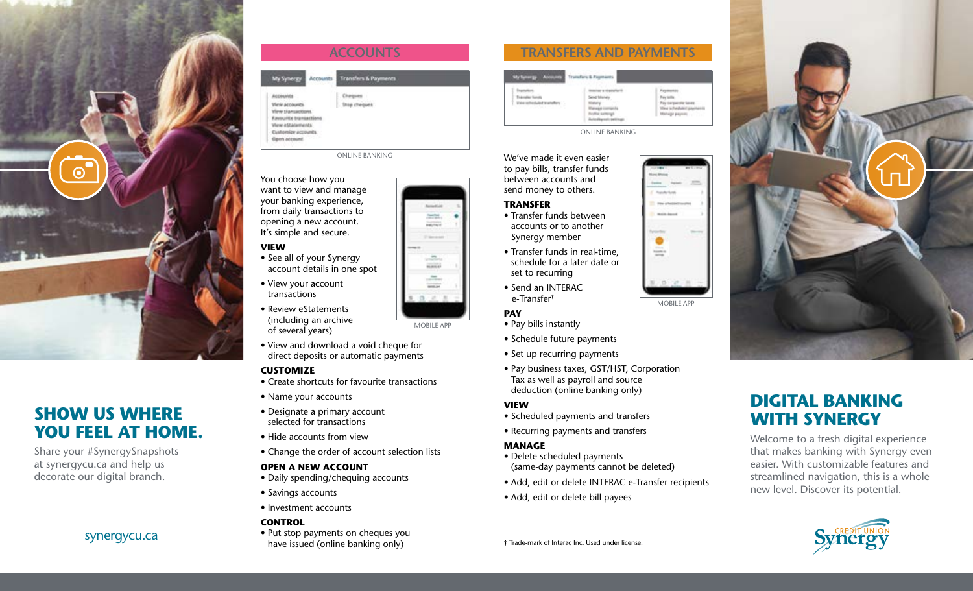



Share your #SynergySnapshots at synergycu.ca and help us decorate our digital branch.



### You choose how you want to view and manage your banking experience, from daily transactions to

opening a new account. It's simple and secure.

## **VIEW**

- See all of your Synergy account details in one spot
- View your account transactions
- Review eStatements (including an archive of several years)
- View and download a void cheque for direct deposits or automatic payments

## **CUSTOMIZE**

- Create shortcuts for favourite transactions
- Name your accounts
- Designate a primary account selected for transactions
- Hide accounts from view
- Change the order of account selection lists

### **OPEN A NEW ACCOUNT**

- Daily spending/chequing accounts
- Savings accounts
- Investment accounts

## **CONTROL**

• Put stop payments on cheques you have issued (online banking only) synergycu.ca

# **TRANSFERS AND PAYMENTS**

| sty System By<br>Accuunts                                                                        | Transfers & Payments                                                                               |                                                                                                   |
|--------------------------------------------------------------------------------------------------|----------------------------------------------------------------------------------------------------|---------------------------------------------------------------------------------------------------|
| $\sim$<br>$\sim$<br>n an<br><b>Francoker Is</b><br>View rehesiukuf tex<br>v.<br>1979/94140111202 | hair is ill selatahur B<br>cial Miss<br>able sample<br><b><i>ASSIMATE</i></b><br><b>The County</b> | Pappauer<br>Pay tolls<br>Pay corporate texts<br><b>They is Ford John E.John</b><br>Manage payers: |

ONLINE BANKING

We've made it even easier to pay bills, transfer funds between accounts and send money to others.

### **TRANSFER**

- Transfer funds between accounts or to another Synergy member
- Transfer funds in real-time, schedule for a later date or set to recurring
- Send an INTERAC e-Transfer†

### **PAY**

MOBILE APP

tester. anis

- Pay bills instantly
- Schedule future payments
- Set up recurring payments
- Pay business taxes, GST/HST, Corporation Tax as well as payroll and source deduction (online banking only)

### **VIEW**

- Scheduled payments and transfers
- Recurring payments and transfers

### **MANAGE**

- Delete scheduled payments (same-day payments cannot be deleted)
- Add, edit or delete INTERAC e-Transfer recipients
- Add, edit or delete bill payees



MOBILE APP



# **DIGITAL BANKING WITH SYNERGY**

Welcome to a fresh digital experience that makes banking with Synergy even easier. With customizable features and streamlined navigation, this is a whole new level. Discover its potential.